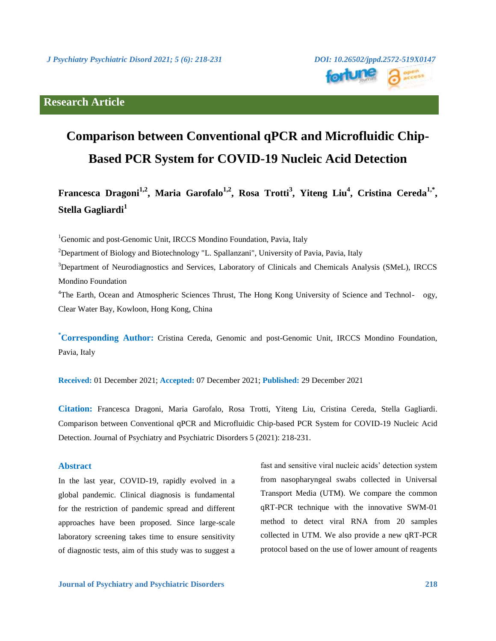# **Research Article**



# **Comparison between Conventional qPCR and Microfluidic Chip-Based PCR System for COVID-19 Nucleic Acid Detection**

**Francesca Dragoni1,2, Maria Garofalo1,2, Rosa Trotti<sup>3</sup> , Yiteng Liu<sup>4</sup> , Cristina Cereda1,\* , Stella Gagliardi<sup>1</sup>**

<sup>1</sup>Genomic and post-Genomic Unit, IRCCS Mondino Foundation, Pavia, Italy

<sup>2</sup>Department of Biology and Biotechnology "L. Spallanzani", University of Pavia, Pavia, Italy

<sup>3</sup>Department of Neurodiagnostics and Services, Laboratory of Clinicals and Chemicals Analysis (SMeL), IRCCS Mondino Foundation

<sup>4</sup>The Earth, Ocean and Atmospheric Sciences Thrust, The Hong Kong University of Science and Technol- ogy, Clear Water Bay, Kowloon, Hong Kong, China

**\*Corresponding Author:** Cristina Cereda, Genomic and post-Genomic Unit, IRCCS Mondino Foundation, Pavia, Italy

**Received:** 01 December 2021; **Accepted:** 07 December 2021; **Published:** 29 December 2021

**Citation:** Francesca Dragoni, Maria Garofalo, Rosa Trotti, Yiteng Liu, Cristina Cereda, Stella Gagliardi. Comparison between Conventional qPCR and Microfluidic Chip-based PCR System for COVID-19 Nucleic Acid Detection. Journal of Psychiatry and Psychiatric Disorders 5 (2021): 218-231.

# **Abstract**

In the last year, COVID-19, rapidly evolved in a global pandemic. Clinical diagnosis is fundamental for the restriction of pandemic spread and different approaches have been proposed. Since large-scale laboratory screening takes time to ensure sensitivity of diagnostic tests, aim of this study was to suggest a fast and sensitive viral nucleic acids' detection system from nasopharyngeal swabs collected in Universal Transport Media (UTM). We compare the common qRT-PCR technique with the innovative SWM-01 method to detect viral RNA from 20 samples collected in UTM. We also provide a new qRT-PCR protocol based on the use of lower amount of reagents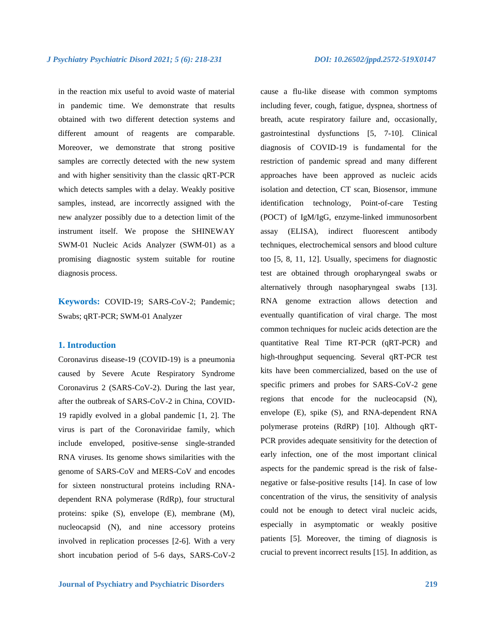in the reaction mix useful to avoid waste of material in pandemic time. We demonstrate that results obtained with two different detection systems and different amount of reagents are comparable. Moreover, we demonstrate that strong positive samples are correctly detected with the new system and with higher sensitivity than the classic qRT-PCR which detects samples with a delay. Weakly positive samples, instead, are incorrectly assigned with the new analyzer possibly due to a detection limit of the instrument itself. We propose the SHINEWAY SWM-01 Nucleic Acids Analyzer (SWM-01) as a promising diagnostic system suitable for routine diagnosis process.

**Keywords:** COVID-19; SARS-CoV-2; Pandemic; Swabs; qRT-PCR; SWM-01 Analyzer

## **1. Introduction**

Coronavirus disease-19 (COVID-19) is a pneumonia caused by Severe Acute Respiratory Syndrome Coronavirus 2 (SARS-CoV-2). During the last year, after the outbreak of SARS-CoV-2 in China, COVID-19 rapidly evolved in a global pandemic [1, 2]. The virus is part of the Coronaviridae family, which include enveloped, positive-sense single-stranded RNA viruses. Its genome shows similarities with the genome of SARS-CoV and MERS-CoV and encodes for sixteen nonstructural proteins including RNAdependent RNA polymerase (RdRp), four structural proteins: spike (S), envelope (E), membrane (M), nucleocapsid (N), and nine accessory proteins involved in replication processes [2-6]. With a very short incubation period of 5-6 days, SARS-CoV-2 cause a flu-like disease with common symptoms including fever, cough, fatigue, dyspnea, shortness of breath, acute respiratory failure and, occasionally, gastrointestinal dysfunctions [5, 7-10]. Clinical diagnosis of COVID-19 is fundamental for the restriction of pandemic spread and many different approaches have been approved as nucleic acids isolation and detection, CT scan, Biosensor, immune identification technology, Point-of-care Testing (POCT) of IgM/IgG, enzyme-linked immunosorbent assay (ELISA), indirect fluorescent antibody techniques, electrochemical sensors and blood culture too [5, 8, 11, 12]. Usually, specimens for diagnostic test are obtained through oropharyngeal swabs or alternatively through nasopharyngeal swabs [13]. RNA genome extraction allows detection and eventually quantification of viral charge. The most common techniques for nucleic acids detection are the quantitative Real Time RT-PCR (qRT-PCR) and high-throughput sequencing. Several qRT-PCR test kits have been commercialized, based on the use of specific primers and probes for SARS-CoV-2 gene regions that encode for the nucleocapsid (N), envelope (E), spike (S), and RNA-dependent RNA polymerase proteins (RdRP) [10]. Although qRT-PCR provides adequate sensitivity for the detection of early infection, one of the most important clinical aspects for the pandemic spread is the risk of falsenegative or false-positive results [14]. In case of low concentration of the virus, the sensitivity of analysis could not be enough to detect viral nucleic acids, especially in asymptomatic or weakly positive patients [5]. Moreover, the timing of diagnosis is crucial to prevent incorrect results [15]. In addition, as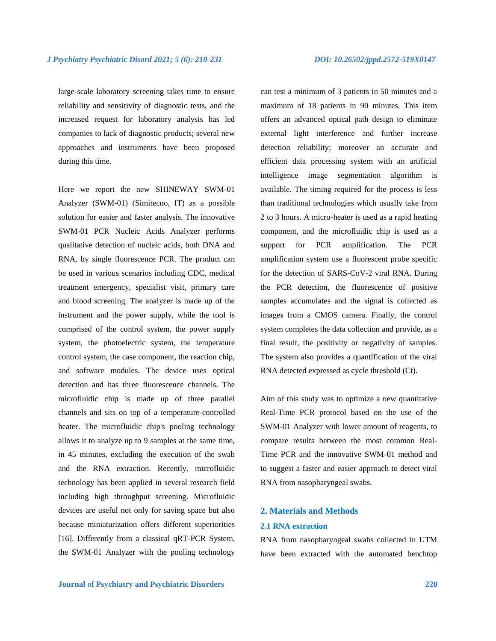large-scale laboratory screening takes time to ensure reliability and sensitivity of diagnostic tests, and the increased request for laboratory analysis has led companies to lack of diagnostic products; several new approaches and instruments have been proposed during this time.

Here we report the new SHINEWAY SWM-01 Analyzer (SWM-01) (Simitecno, IT) as a possible solution for easier and faster analysis. The innovative SWM-01 PCR Nucleic Acids Analyzer performs qualitative detection of nucleic acids, both DNA and RNA, by single fluorescence PCR. The product can be used in various scenarios including CDC, medical treatment emergency, specialist visit, primary care and blood screening. The analyzer is made up of the instrument and the power supply, while the tool is comprised of the control system, the power supply system, the photoelectric system, the temperature control system, the case component, the reaction chip, and software modules. The device uses optical detection and has three fluorescence channels. The microfluidic chip is made up of three parallel channels and sits on top of a temperature-controlled heater. The microfluidic chip's pooling technology allows it to analyze up to 9 samples at the same time, in 45 minutes, excluding the execution of the swab and the RNA extraction. Recently, microfluidic technology has been applied in several research field including high throughput screening. Microfluidic devices are useful not only for saving space but also because miniaturization offers different superiorities [16]. Differently from a classical qRT-PCR System, the SWM-01 Analyzer with the pooling technology can test a minimum of 3 patients in 50 minutes and a maximum of 18 patients in 90 minutes. This item offers an advanced optical path design to eliminate external light interference and further increase detection reliability; moreover an accurate and efficient data processing system with an artificial intelligence image segmentation algorithm is available. The timing required for the process is less than traditional technologies which usually take from 2 to 3 hours. A micro-heater is used as a rapid heating component, and the microfluidic chip is used as a support for PCR amplification. The PCR amplification system use a fluorescent probe specific for the detection of SARS-CoV-2 viral RNA. During the PCR detection, the fluorescence of positive samples accumulates and the signal is collected as images from a CMOS camera. Finally, the control system completes the data collection and provide, as a final result, the positivity or negativity of samples. The system also provides a quantification of the viral RNA detected expressed as cycle threshold (Ct).

Aim of this study was to optimize a new quantitative Real-Time PCR protocol based on the use of the SWM-01 Analyzer with lower amount of reagents, to compare results between the most common Real-Time PCR and the innovative SWM-01 method and to suggest a faster and easier approach to detect viral RNA from nasopharyngeal swabs.

# **2. Materials and Methods**

# **2.1 RNA extraction**

RNA from nasopharyngeal swabs collected in UTM have been extracted with the automated benchtop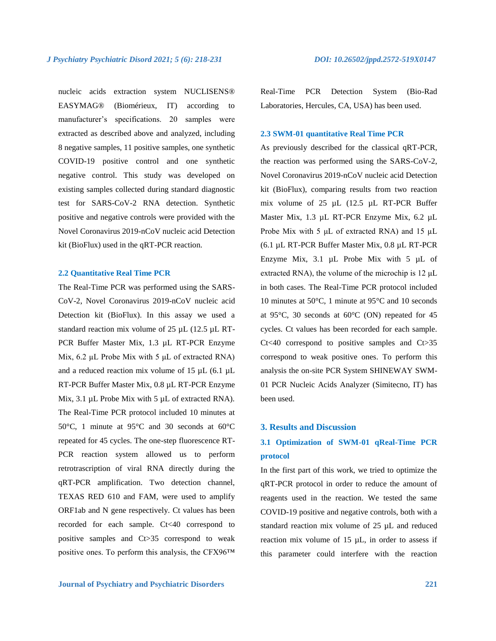nucleic acids extraction system NUCLISENS® EASYMAG® (Biomérieux, IT) according to manufacturer's specifications. 20 samples were extracted as described above and analyzed, including 8 negative samples, 11 positive samples, one synthetic COVID-19 positive control and one synthetic negative control. This study was developed on existing samples collected during standard diagnostic test for SARS-CoV-2 RNA detection. Synthetic positive and negative controls were provided with the Novel Coronavirus 2019-nCoV nucleic acid Detection kit (BioFlux) used in the qRT-PCR reaction.

### **2.2 Quantitative Real Time PCR**

The Real-Time PCR was performed using the SARS-CoV-2, Novel Coronavirus 2019-nCoV nucleic acid Detection kit (BioFlux). In this assay we used a standard reaction mix volume of 25 µL (12.5 µL RT-PCR Buffer Master Mix, 1.3 µL RT-PCR Enzyme Mix, 6.2 µL Probe Mix with 5 μL of extracted RNA) and a reduced reaction mix volume of 15 µL (6.1 µL RT-PCR Buffer Master Mix, 0.8 µL RT-PCR Enzyme Mix, 3.1 µL Probe Mix with 5 µL of extracted RNA). The Real-Time PCR protocol included 10 minutes at 50°C, 1 minute at 95°C and 30 seconds at 60°C repeated for 45 cycles. The one-step fluorescence RT-PCR reaction system allowed us to perform retrotrascription of viral RNA directly during the qRT-PCR amplification. Two detection channel, TEXAS RED 610 and FAM, were used to amplify ORF1ab and N gene respectively. Ct values has been recorded for each sample. Ct<40 correspond to positive samples and Ct>35 correspond to weak positive ones. To perform this analysis, the CFX96™

Real-Time PCR Detection System (Bio-Rad Laboratories, Hercules, CA, USA) has been used.

# **2.3 SWM-01 quantitative Real Time PCR**

As previously described for the classical qRT-PCR, the reaction was performed using the SARS-CoV-2, Novel Coronavirus 2019-nCoV nucleic acid Detection kit (BioFlux), comparing results from two reaction mix volume of 25 µL (12.5 µL RT-PCR Buffer Master Mix, 1.3 µL RT-PCR Enzyme Mix, 6.2 µL Probe Mix with 5 μL of extracted RNA) and 15 µL (6.1 µL RT-PCR Buffer Master Mix, 0.8 µL RT-PCR Enzyme Mix, 3.1 µL Probe Mix with 5 µL of extracted RNA), the volume of the microchip is 12 μL in both cases. The Real-Time PCR protocol included 10 minutes at 50°C, 1 minute at 95°C and 10 seconds at 95°C, 30 seconds at 60°C (ON) repeated for 45 cycles. Ct values has been recorded for each sample. Ct<40 correspond to positive samples and Ct>35 correspond to weak positive ones. To perform this analysis the on-site PCR System SHINEWAY SWM-01 PCR Nucleic Acids Analyzer (Simitecno, IT) has been used.

#### **3. Results and Discussion**

# **3.1 Optimization of SWM-01 qReal-Time PCR protocol**

In the first part of this work, we tried to optimize the qRT-PCR protocol in order to reduce the amount of reagents used in the reaction. We tested the same COVID-19 positive and negative controls, both with a standard reaction mix volume of 25 µL and reduced reaction mix volume of  $15 \mu L$ , in order to assess if this parameter could interfere with the reaction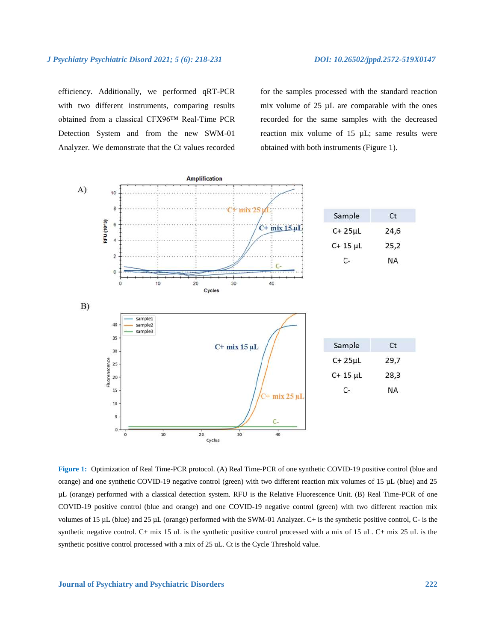efficiency. Additionally, we performed qRT-PCR with two different instruments, comparing results obtained from a classical CFX96™ Real-Time PCR Detection System and from the new SWM-01 Analyzer. We demonstrate that the Ct values recorded for the samples processed with the standard reaction mix volume of 25 µL are comparable with the ones recorded for the same samples with the decreased reaction mix volume of 15 µL; same results were obtained with both instruments (Figure 1).



**Figure 1:** Optimization of Real Time-PCR protocol. (A) Real Time-PCR of one synthetic COVID-19 positive control (blue and orange) and one synthetic COVID-19 negative control (green) with two different reaction mix volumes of 15 µL (blue) and 25 µL (orange) performed with a classical detection system. RFU is the Relative Fluorescence Unit. (B) Real Time-PCR of one COVID-19 positive control (blue and orange) and one COVID-19 negative control (green) with two different reaction mix volumes of 15 µL (blue) and 25 µL (orange) performed with the SWM-01 Analyzer. C+ is the synthetic positive control, C- is the synthetic negative control. C+ mix 15 uL is the synthetic positive control processed with a mix of 15 uL. C+ mix 25 uL is the synthetic positive control processed with a mix of 25 uL. Ct is the Cycle Threshold value.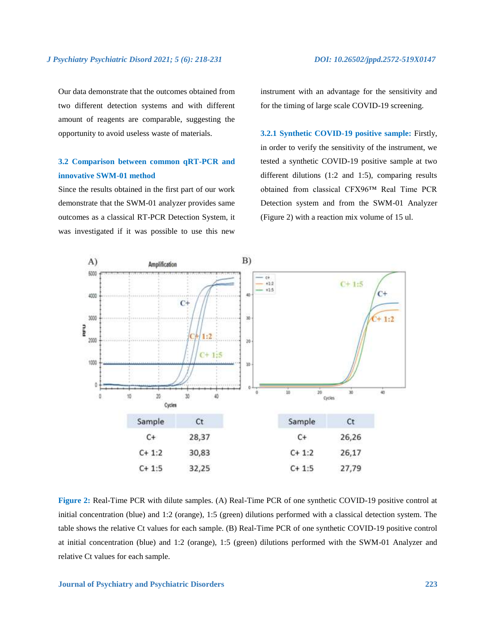Our data demonstrate that the outcomes obtained from two different detection systems and with different amount of reagents are comparable, suggesting the opportunity to avoid useless waste of materials.

# **3.2 Comparison between common qRT-PCR and innovative SWM-01 method**

Since the results obtained in the first part of our work demonstrate that the SWM-01 analyzer provides same outcomes as a classical RT-PCR Detection System, it was investigated if it was possible to use this new instrument with an advantage for the sensitivity and for the timing of large scale COVID-19 screening.

**3.2.1 Synthetic COVID-19 positive sample:** Firstly, in order to verify the sensitivity of the instrument, we tested a synthetic COVID-19 positive sample at two different dilutions (1:2 and 1:5), comparing results obtained from classical CFX96™ Real Time PCR Detection system and from the SWM-01 Analyzer (Figure 2) with a reaction mix volume of 15 ul.



**Figure 2:** Real-Time PCR with dilute samples. (A) Real-Time PCR of one synthetic COVID-19 positive control at initial concentration (blue) and 1:2 (orange), 1:5 (green) dilutions performed with a classical detection system. The table shows the relative Ct values for each sample. (B) Real-Time PCR of one synthetic COVID-19 positive control at initial concentration (blue) and 1:2 (orange), 1:5 (green) dilutions performed with the SWM-01 Analyzer and relative Ct values for each sample.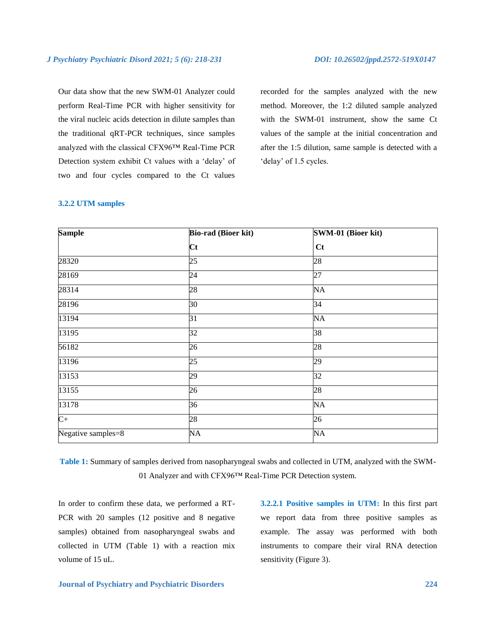Our data show that the new SWM-01 Analyzer could perform Real-Time PCR with higher sensitivity for the viral nucleic acids detection in dilute samples than the traditional qRT-PCR techniques, since samples analyzed with the classical CFX96™ Real-Time PCR Detection system exhibit Ct values with a 'delay' of two and four cycles compared to the Ct values recorded for the samples analyzed with the new method. Moreover, the 1:2 diluted sample analyzed with the SWM-01 instrument, show the same Ct values of the sample at the initial concentration and after the 1:5 dilution, same sample is detected with a 'delay' of 1.5 cycles.

# **3.2.2 UTM samples**

| <b>Sample</b>      | <b>Bio-rad (Bioer kit)</b> | SWM-01 (Bioer kit) |
|--------------------|----------------------------|--------------------|
|                    | Ct                         | Ct                 |
| 28320              | 25                         | 28                 |
| 28169              | 24                         | 27                 |
| 28314              | 28                         | <b>NA</b>          |
| 28196              | 30                         | 34                 |
| 13194              | 31                         | NA                 |
| 13195              | 32                         | 38                 |
| 56182              | 26                         | 28                 |
| 13196              | 25                         | 29                 |
| 13153              | 29                         | 32                 |
| 13155              | 26                         | 28                 |
| 13178              | 36                         | <b>NA</b>          |
| $C+$               | 28                         | 26                 |
| Negative samples=8 | <b>NA</b>                  | <b>NA</b>          |

**Table 1:** Summary of samples derived from nasopharyngeal swabs and collected in UTM, analyzed with the SWM-01 Analyzer and with CFX96™ Real-Time PCR Detection system.

In order to confirm these data, we performed a RT-PCR with 20 samples (12 positive and 8 negative samples) obtained from nasopharyngeal swabs and collected in UTM (Table 1) with a reaction mix volume of 15 uL.

**3.2.2.1 Positive samples in UTM:** In this first part we report data from three positive samples as example. The assay was performed with both instruments to compare their viral RNA detection sensitivity (Figure 3).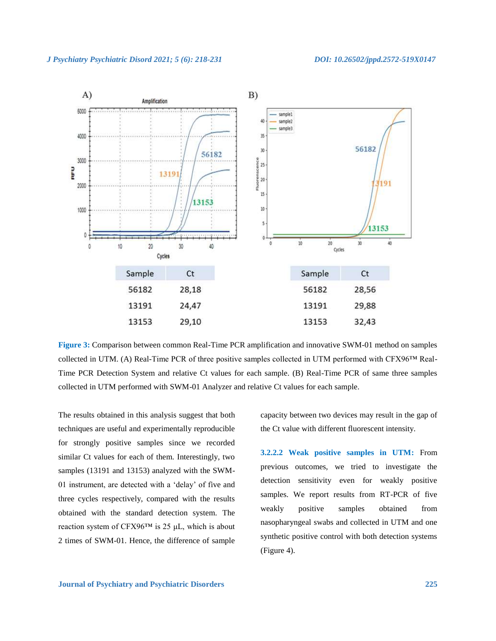

**Figure 3:** Comparison between common Real-Time PCR amplification and innovative SWM-01 method on samples collected in UTM. (A) Real-Time PCR of three positive samples collected in UTM performed with CFX96™ Real-Time PCR Detection System and relative Ct values for each sample. (B) Real-Time PCR of same three samples collected in UTM performed with SWM-01 Analyzer and relative Ct values for each sample.

The results obtained in this analysis suggest that both techniques are useful and experimentally reproducible for strongly positive samples since we recorded similar Ct values for each of them. Interestingly, two samples (13191 and 13153) analyzed with the SWM-01 instrument, are detected with a 'delay' of five and three cycles respectively, compared with the results obtained with the standard detection system. The reaction system of CFX96™ is 25 μL, which is about 2 times of SWM-01. Hence, the difference of sample capacity between two devices may result in the gap of the Ct value with different fluorescent intensity.

**3.2.2.2 Weak positive samples in UTM:** From previous outcomes, we tried to investigate the detection sensitivity even for weakly positive samples. We report results from RT-PCR of five weakly positive samples obtained from nasopharyngeal swabs and collected in UTM and one synthetic positive control with both detection systems (Figure 4).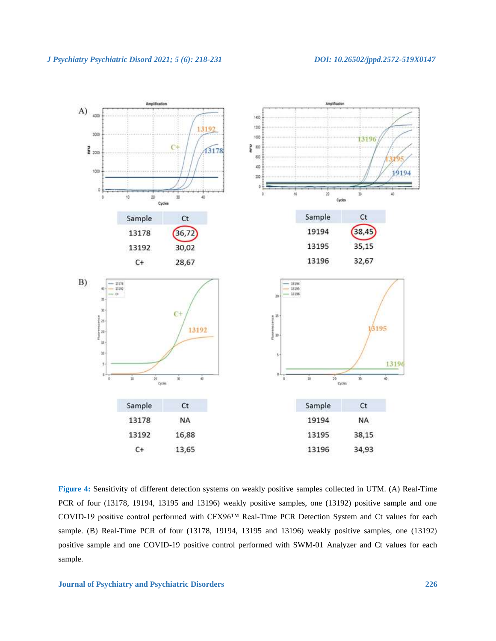

**Figure 4:** Sensitivity of different detection systems on weakly positive samples collected in UTM. (A) Real-Time PCR of four (13178, 19194, 13195 and 13196) weakly positive samples, one (13192) positive sample and one COVID-19 positive control performed with CFX96™ Real-Time PCR Detection System and Ct values for each sample. (B) Real-Time PCR of four (13178, 19194, 13195 and 13196) weakly positive samples, one (13192) positive sample and one COVID-19 positive control performed with SWM-01 Analyzer and Ct values for each sample.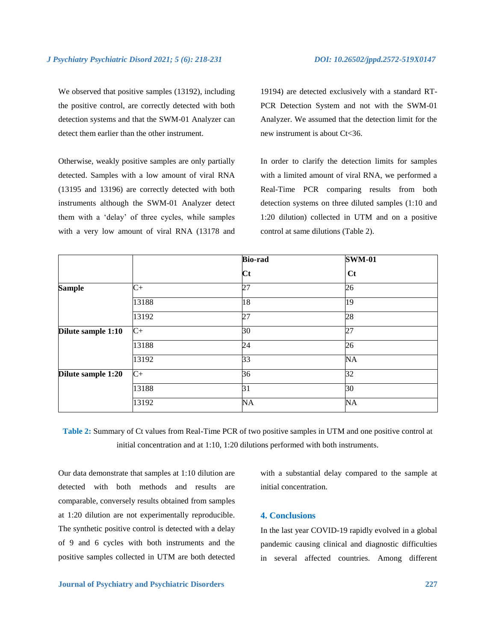We observed that positive samples (13192), including the positive control, are correctly detected with both detection systems and that the SWM-01 Analyzer can detect them earlier than the other instrument.

Otherwise, weakly positive samples are only partially detected. Samples with a low amount of viral RNA (13195 and 13196) are correctly detected with both instruments although the SWM-01 Analyzer detect them with a 'delay' of three cycles, while samples with a very low amount of viral RNA (13178 and

19194) are detected exclusively with a standard RT-PCR Detection System and not with the SWM-01 Analyzer. We assumed that the detection limit for the new instrument is about Ct<36.

In order to clarify the detection limits for samples with a limited amount of viral RNA, we performed a Real-Time PCR comparing results from both detection systems on three diluted samples (1:10 and 1:20 dilution) collected in UTM and on a positive control at same dilutions (Table 2).

|                    |       | <b>Bio-rad</b><br>$\mathbf{C}$ t | <b>SWM-01</b><br>$ct$ |
|--------------------|-------|----------------------------------|-----------------------|
|                    |       |                                  |                       |
| <b>Sample</b>      | $C+$  | 27                               | 26                    |
|                    | 13188 | 18                               | 19                    |
|                    | 13192 | 27                               | 28                    |
| Dilute sample 1:10 | $C+$  | 30                               | 27                    |
|                    | 13188 | 24                               | 26                    |
|                    | 13192 | 33                               | <b>NA</b>             |
| Dilute sample 1:20 | $C+$  | 36                               | 32                    |
|                    | 13188 | 31                               | 30                    |
|                    | 13192 | NA                               | NA                    |

**Table 2:** Summary of Ct values from Real-Time PCR of two positive samples in UTM and one positive control at initial concentration and at 1:10, 1:20 dilutions performed with both instruments.

Our data demonstrate that samples at 1:10 dilution are detected with both methods and results are comparable, conversely results obtained from samples at 1:20 dilution are not experimentally reproducible. The synthetic positive control is detected with a delay of 9 and 6 cycles with both instruments and the positive samples collected in UTM are both detected with a substantial delay compared to the sample at initial concentration.

# **4. Conclusions**

In the last year COVID-19 rapidly evolved in a global pandemic causing clinical and diagnostic difficulties in several affected countries. Among different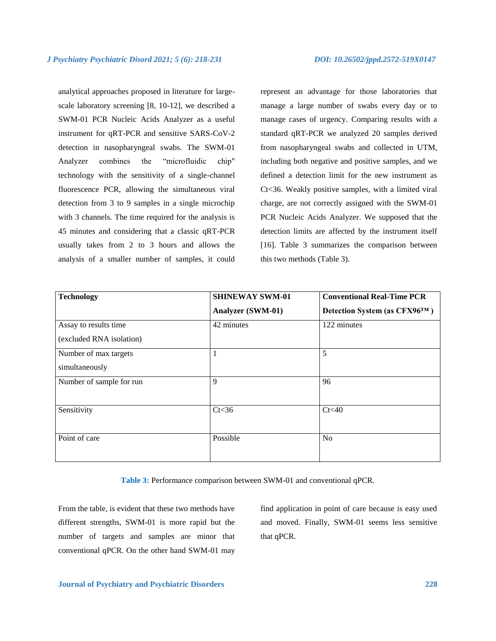analytical approaches proposed in literature for largescale laboratory screening [8, 10-12], we described a SWM-01 PCR Nucleic Acids Analyzer as a useful instrument for qRT-PCR and sensitive SARS-CoV-2 detection in nasopharyngeal swabs. The SWM-01 Analyzer combines the "microfluidic chip" technology with the sensitivity of a single-channel fluorescence PCR, allowing the simultaneous viral detection from 3 to 9 samples in a single microchip with 3 channels. The time required for the analysis is 45 minutes and considering that a classic qRT-PCR usually takes from 2 to 3 hours and allows the analysis of a smaller number of samples, it could represent an advantage for those laboratories that manage a large number of swabs every day or to manage cases of urgency. Comparing results with a standard qRT-PCR we analyzed 20 samples derived from nasopharyngeal swabs and collected in UTM, including both negative and positive samples, and we defined a detection limit for the new instrument as Ct<36. Weakly positive samples, with a limited viral charge, are not correctly assigned with the SWM-01 PCR Nucleic Acids Analyzer. We supposed that the detection limits are affected by the instrument itself [16]. Table 3 summarizes the comparison between this two methods (Table 3).

| <b>Technology</b>        | <b>SHINEWAY SWM-01</b> | <b>Conventional Real-Time PCR</b> |
|--------------------------|------------------------|-----------------------------------|
|                          | Analyzer (SWM-01)      | Detection System (as CFX96™)      |
| Assay to results time    | 42 minutes             | 122 minutes                       |
| (excluded RNA isolation) |                        |                                   |
| Number of max targets    |                        | 5                                 |
| simultaneously           |                        |                                   |
| Number of sample for run | 9                      | 96                                |
| Sensitivity              | Ct<36                  | Ct<40                             |
| Point of care            | Possible               | N <sub>o</sub>                    |

**Table 3:** Performance comparison between SWM-01 and conventional qPCR.

From the table, is evident that these two methods have different strengths, SWM-01 is more rapid but the number of targets and samples are minor that conventional qPCR. On the other hand SWM-01 may find application in point of care because is easy used and moved. Finally, SWM-01 seems less sensitive that qPCR.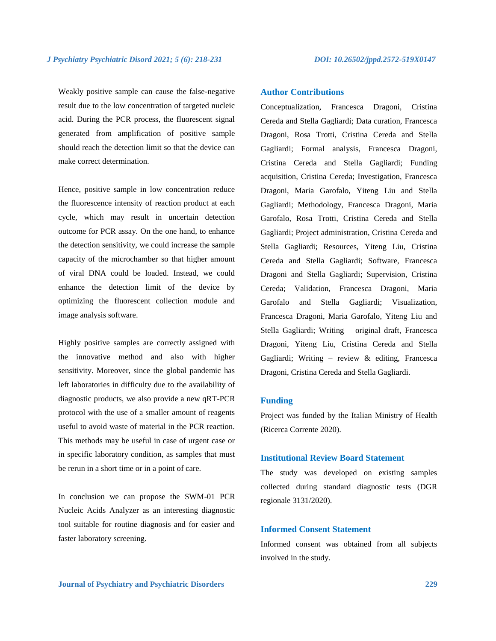Weakly positive sample can cause the false-negative result due to the low concentration of targeted nucleic acid. During the PCR process, the fluorescent signal generated from amplification of positive sample should reach the detection limit so that the device can make correct determination.

Hence, positive sample in low concentration reduce the fluorescence intensity of reaction product at each cycle, which may result in uncertain detection outcome for PCR assay. On the one hand, to enhance the detection sensitivity, we could increase the sample capacity of the microchamber so that higher amount of viral DNA could be loaded. Instead, we could enhance the detection limit of the device by optimizing the fluorescent collection module and image analysis software.

Highly positive samples are correctly assigned with the innovative method and also with higher sensitivity. Moreover, since the global pandemic has left laboratories in difficulty due to the availability of diagnostic products, we also provide a new qRT-PCR protocol with the use of a smaller amount of reagents useful to avoid waste of material in the PCR reaction. This methods may be useful in case of urgent case or in specific laboratory condition, as samples that must be rerun in a short time or in a point of care.

In conclusion we can propose the SWM-01 PCR Nucleic Acids Analyzer as an interesting diagnostic tool suitable for routine diagnosis and for easier and faster laboratory screening.

# **Author Contributions**

Conceptualization, Francesca Dragoni, Cristina Cereda and Stella Gagliardi; Data curation, Francesca Dragoni, Rosa Trotti, Cristina Cereda and Stella Gagliardi; Formal analysis, Francesca Dragoni, Cristina Cereda and Stella Gagliardi; Funding acquisition, Cristina Cereda; Investigation, Francesca Dragoni, Maria Garofalo, Yiteng Liu and Stella Gagliardi; Methodology, Francesca Dragoni, Maria Garofalo, Rosa Trotti, Cristina Cereda and Stella Gagliardi; Project administration, Cristina Cereda and Stella Gagliardi; Resources, Yiteng Liu, Cristina Cereda and Stella Gagliardi; Software, Francesca Dragoni and Stella Gagliardi; Supervision, Cristina Cereda; Validation, Francesca Dragoni, Maria Garofalo and Stella Gagliardi; Visualization, Francesca Dragoni, Maria Garofalo, Yiteng Liu and Stella Gagliardi; Writing – original draft, Francesca Dragoni, Yiteng Liu, Cristina Cereda and Stella Gagliardi; Writing – review & editing, Francesca Dragoni, Cristina Cereda and Stella Gagliardi.

# **Funding**

Project was funded by the Italian Ministry of Health (Ricerca Corrente 2020).

# **Institutional Review Board Statement**

The study was developed on existing samples collected during standard diagnostic tests (DGR regionale 3131/2020).

# **Informed Consent Statement**

Informed consent was obtained from all subjects involved in the study.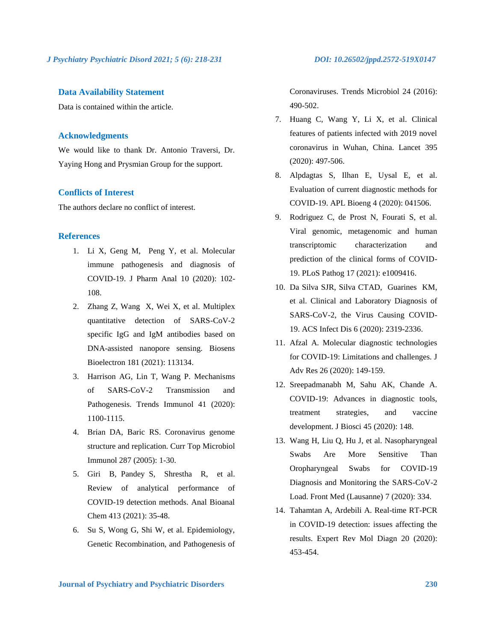*J Psychiatry Psychiatric Disord 2021; 5 (6): 218-231**DOI: 10.26502/jppd.2572-519X0147*

# **Data Availability Statement**

Data is contained within the article.

# **Acknowledgments**

We would like to thank Dr. Antonio Traversi, Dr. Yaying Hong and Prysmian Group for the support.

# **Conflicts of Interest**

The authors declare no conflict of interest.

# **References**

- 1. Li X, Geng M, Peng Y, et al. Molecular immune pathogenesis and diagnosis of COVID-19. J Pharm Anal 10 (2020): 102- 108.
- 2. Zhang Z, Wang X, Wei X, et al. Multiplex quantitative detection of SARS-CoV-2 specific IgG and IgM antibodies based on DNA-assisted nanopore sensing. Biosens Bioelectron 181 (2021): 113134.
- 3. Harrison AG, Lin T, Wang P. Mechanisms of SARS-CoV-2 Transmission and Pathogenesis. Trends Immunol 41 (2020): 1100-1115.
- 4. Brian DA, Baric RS. Coronavirus genome structure and replication. Curr Top Microbiol Immunol 287 (2005): 1-30.
- 5. Giri B, Pandey S, Shrestha R, et al. Review of analytical performance of COVID-19 detection methods. Anal Bioanal Chem 413 (2021): 35-48.
- 6. Su S, Wong G, Shi W, et al. Epidemiology, Genetic Recombination, and Pathogenesis of

Coronaviruses. Trends Microbiol 24 (2016): 490-502.

- 7. Huang C, Wang Y, Li X, et al. Clinical features of patients infected with 2019 novel coronavirus in Wuhan, China. Lancet 395 (2020): 497-506.
- 8. Alpdagtas S, Ilhan E, Uysal E, et al. Evaluation of current diagnostic methods for COVID-19. APL Bioeng 4 (2020): 041506.
- 9. Rodriguez C, de Prost N, Fourati S, et al. Viral genomic, metagenomic and human transcriptomic characterization and prediction of the clinical forms of COVID-19. PLoS Pathog 17 (2021): e1009416.
- 10. Da Silva SJR, Silva CTAD, Guarines KM, et al. Clinical and Laboratory Diagnosis of SARS-CoV-2, the Virus Causing COVID-19. ACS Infect Dis 6 (2020): 2319-2336.
- 11. Afzal A. Molecular diagnostic technologies for COVID-19: Limitations and challenges. J Adv Res 26 (2020): 149-159.
- 12. Sreepadmanabh M, Sahu AK, Chande A. COVID-19: Advances in diagnostic tools, treatment strategies, and vaccine development. J Biosci 45 (2020): 148.
- 13. Wang H, Liu Q, Hu J, et al. Nasopharyngeal Swabs Are More Sensitive Than Oropharyngeal Swabs for COVID-19 Diagnosis and Monitoring the SARS-CoV-2 Load. Front Med (Lausanne) 7 (2020): 334.
- 14. Tahamtan A, Ardebili A. Real-time RT-PCR in COVID-19 detection: issues affecting the results. Expert Rev Mol Diagn 20 (2020): 453-454.